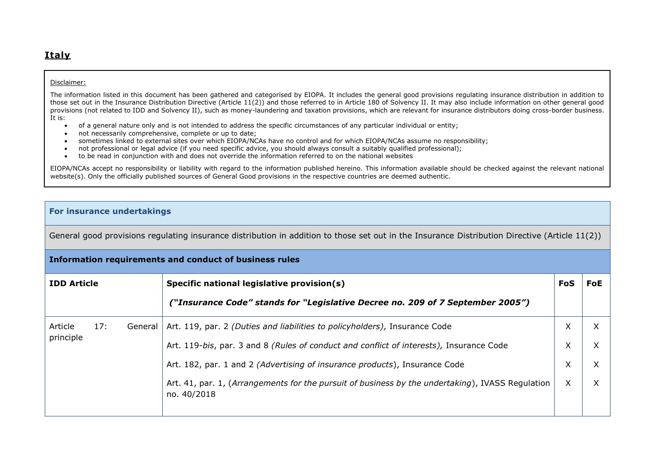## **Italy**

## Disclaimer:

The information listed in this document has been gathered and categorised by EIOPA. It includes the general good provisions regulating insurance distribution in addition to those set out in the Insurance Distribution Directive (Article 11(2)) and those referred to in Article 180 of Solvency II. It may also include information on other general good provisions (not related to IDD and Solvency II), such as money-laundering and taxation provisions, which are relevant for insurance distributors doing cross-border business. It is:

- of a general nature only and is not intended to address the specific circumstances of any particular individual or entity;
- not necessarily comprehensive, complete or up to date;
- sometimes linked to external sites over which EIOPA/NCAs have no control and for which EIOPA/NCAs assume no responsibility;
- not professional or legal advice (if you need specific advice, you should always consult a suitably qualified professional);
- to be read in conjunction with and does not override the information referred to on the national websites

EIOPA/NCAs accept no responsibility or liability with regard to the information published hereino. This information available should be checked against the relevant national website(s). Only the officially published sources of General Good provisions in the respective countries are deemed authentic.

## **For insurance undertakings**

General good provisions regulating insurance distribution in addition to those set out in the Insurance Distribution Directive (Article 11(2))

| Information requirements and conduct of business rules |     |         |                                                                                                                 |     |     |  |  |
|--------------------------------------------------------|-----|---------|-----------------------------------------------------------------------------------------------------------------|-----|-----|--|--|
| <b>IDD Article</b>                                     |     |         | Specific national legislative provision(s)                                                                      | FoS | FoE |  |  |
|                                                        |     |         | ("Insurance Code" stands for "Legislative Decree no. 209 of 7 September 2005")                                  |     |     |  |  |
| Article                                                | 17: | General | Art. 119, par. 2 (Duties and liabilities to policyholders), Insurance Code                                      | X   | X   |  |  |
| principle                                              |     |         | Art. 119-bis, par. 3 and 8 (Rules of conduct and conflict of interests), Insurance Code                         | X   | X   |  |  |
|                                                        |     |         | Art. 182, par. 1 and 2 (Advertising of insurance products), Insurance Code                                      | X   | X   |  |  |
|                                                        |     |         | Art. 41, par. 1, (Arrangements for the pursuit of business by the undertaking), IVASS Regulation<br>no. 40/2018 | X   | X   |  |  |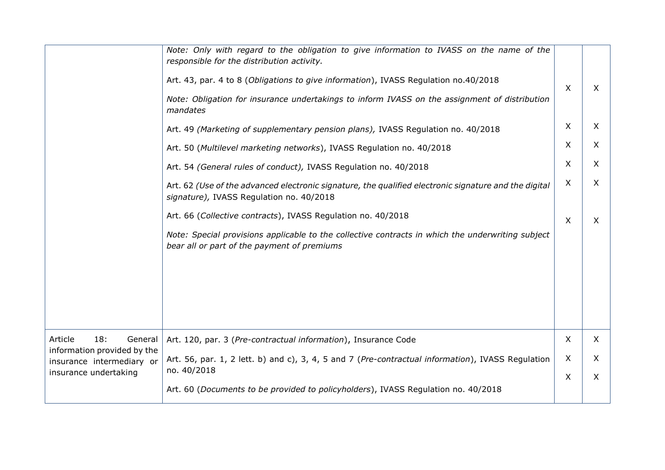|                                                          | Note: Only with regard to the obligation to give information to IVASS on the name of the<br>responsible for the distribution activity.                                               |         |                           |
|----------------------------------------------------------|--------------------------------------------------------------------------------------------------------------------------------------------------------------------------------------|---------|---------------------------|
|                                                          | Art. 43, par. 4 to 8 (Obligations to give information), IVASS Regulation no.40/2018<br>Note: Obligation for insurance undertakings to inform IVASS on the assignment of distribution | $\sf X$ | X                         |
|                                                          | mandates                                                                                                                                                                             |         |                           |
|                                                          | Art. 49 (Marketing of supplementary pension plans), IVASS Regulation no. 40/2018                                                                                                     | X       | $\boldsymbol{\mathsf{X}}$ |
|                                                          | Art. 50 (Multilevel marketing networks), IVASS Regulation no. 40/2018                                                                                                                | X       | $\mathsf{X}$              |
|                                                          | Art. 54 (General rules of conduct), IVASS Regulation no. 40/2018                                                                                                                     | X       | X                         |
|                                                          | Art. 62 (Use of the advanced electronic signature, the qualified electronic signature and the digital<br>signature), IVASS Regulation no. 40/2018                                    | X       | X                         |
|                                                          | Art. 66 (Collective contracts), IVASS Regulation no. 40/2018                                                                                                                         | X       | X                         |
|                                                          | Note: Special provisions applicable to the collective contracts in which the underwriting subject<br>bear all or part of the payment of premiums                                     |         |                           |
|                                                          |                                                                                                                                                                                      |         |                           |
|                                                          |                                                                                                                                                                                      |         |                           |
|                                                          |                                                                                                                                                                                      |         |                           |
|                                                          |                                                                                                                                                                                      |         |                           |
| Article<br>18:<br>General<br>information provided by the | Art. 120, par. 3 (Pre-contractual information), Insurance Code                                                                                                                       | X       | X                         |
| insurance intermediary or<br>insurance undertaking       | Art. 56, par. 1, 2 lett. b) and c), 3, 4, 5 and 7 (Pre-contractual information), IVASS Regulation<br>no. 40/2018                                                                     | X       | X                         |
|                                                          | Art. 60 (Documents to be provided to policyholders), IVASS Regulation no. 40/2018                                                                                                    | X       | X                         |
|                                                          |                                                                                                                                                                                      |         |                           |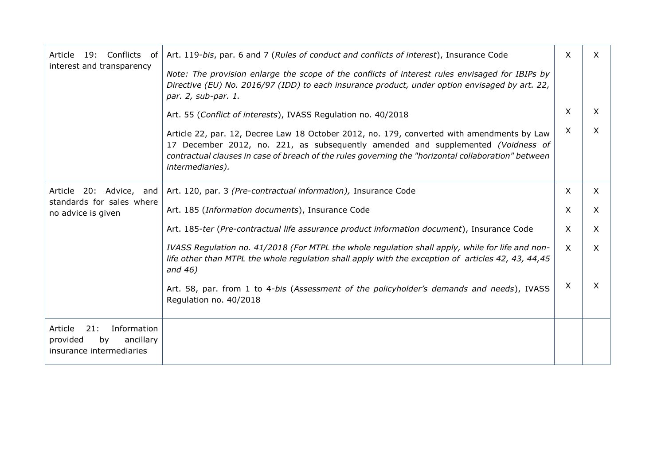| 19: Conflicts<br>Article<br>of                                                           | Art. 119-bis, par. 6 and 7 (Rules of conduct and conflicts of interest), Insurance Code                                                                                                                                                                                                                   | X        | $\times$     |
|------------------------------------------------------------------------------------------|-----------------------------------------------------------------------------------------------------------------------------------------------------------------------------------------------------------------------------------------------------------------------------------------------------------|----------|--------------|
| interest and transparency                                                                | Note: The provision enlarge the scope of the conflicts of interest rules envisaged for IBIPs by<br>Directive (EU) No. 2016/97 (IDD) to each insurance product, under option envisaged by art. 22,<br>par. 2, sub-par. 1.                                                                                  |          |              |
|                                                                                          | Art. 55 (Conflict of interests), IVASS Regulation no. 40/2018                                                                                                                                                                                                                                             | X        | X            |
|                                                                                          | Article 22, par. 12, Decree Law 18 October 2012, no. 179, converted with amendments by Law<br>17 December 2012, no. 221, as subsequently amended and supplemented (Voidness of<br>contractual clauses in case of breach of the rules governing the "horizontal collaboration" between<br>intermediaries). | $\times$ | $\times$     |
| Article 20: Advice, and                                                                  | Art. 120, par. 3 (Pre-contractual information), Insurance Code                                                                                                                                                                                                                                            | X        | $\mathsf{X}$ |
| standards for sales where<br>no advice is given                                          | Art. 185 (Information documents), Insurance Code                                                                                                                                                                                                                                                          | $\times$ | $\mathsf{X}$ |
|                                                                                          | Art. 185-ter (Pre-contractual life assurance product information document), Insurance Code                                                                                                                                                                                                                | $\times$ | $\mathsf{X}$ |
|                                                                                          | IVASS Regulation no. 41/2018 (For MTPL the whole regulation shall apply, while for life and non-<br>life other than MTPL the whole regulation shall apply with the exception of articles 42, 43, 44,45<br>and $46)$                                                                                       | $\times$ | $\times$     |
|                                                                                          | Art. 58, par. from 1 to 4-bis (Assessment of the policyholder's demands and needs), IVASS<br>Regulation no. 40/2018                                                                                                                                                                                       | X        | $\sf X$      |
| 21:<br>Information<br>Article<br>ancillary<br>provided<br>by<br>insurance intermediaries |                                                                                                                                                                                                                                                                                                           |          |              |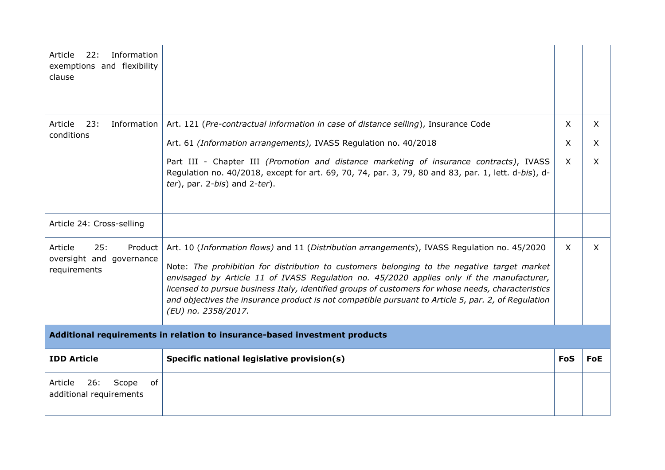| Information<br>Article<br>22:<br>exemptions and flexibility<br>clause |                                                                                                                                                                                                                                                                                                                                                                                                                                                                                                                              |              |            |
|-----------------------------------------------------------------------|------------------------------------------------------------------------------------------------------------------------------------------------------------------------------------------------------------------------------------------------------------------------------------------------------------------------------------------------------------------------------------------------------------------------------------------------------------------------------------------------------------------------------|--------------|------------|
| 23:<br>Article<br>Information                                         | Art. 121 (Pre-contractual information in case of distance selling), Insurance Code                                                                                                                                                                                                                                                                                                                                                                                                                                           | X.           | $\times$   |
| conditions                                                            | Art. 61 (Information arrangements), IVASS Regulation no. 40/2018                                                                                                                                                                                                                                                                                                                                                                                                                                                             | X            | $\times$   |
|                                                                       | Part III - Chapter III (Promotion and distance marketing of insurance contracts), IVASS<br>Regulation no. 40/2018, except for art. 69, 70, 74, par. 3, 79, 80 and 83, par. 1, lett. d-bis), d-<br>$ter$ ), par. 2-bis) and 2-ter).                                                                                                                                                                                                                                                                                           | $\mathsf{X}$ | $\sf X$    |
| Article 24: Cross-selling                                             |                                                                                                                                                                                                                                                                                                                                                                                                                                                                                                                              |              |            |
| Article<br>25:<br>Product<br>oversight and governance<br>requirements | Art. 10 (Information flows) and 11 (Distribution arrangements), IVASS Regulation no. 45/2020<br>Note: The prohibition for distribution to customers belonging to the negative target market<br>envisaged by Article 11 of IVASS Regulation no. 45/2020 applies only if the manufacturer,<br>licensed to pursue business Italy, identified groups of customers for whose needs, characteristics<br>and objectives the insurance product is not compatible pursuant to Article 5, par. 2, of Regulation<br>(EU) no. 2358/2017. | $\times$     | X          |
|                                                                       | Additional requirements in relation to insurance-based investment products                                                                                                                                                                                                                                                                                                                                                                                                                                                   |              |            |
| <b>IDD Article</b>                                                    | Specific national legislative provision(s)                                                                                                                                                                                                                                                                                                                                                                                                                                                                                   | <b>FoS</b>   | <b>FoE</b> |
| 26:<br>Article<br>Scope<br>of<br>additional requirements              |                                                                                                                                                                                                                                                                                                                                                                                                                                                                                                                              |              |            |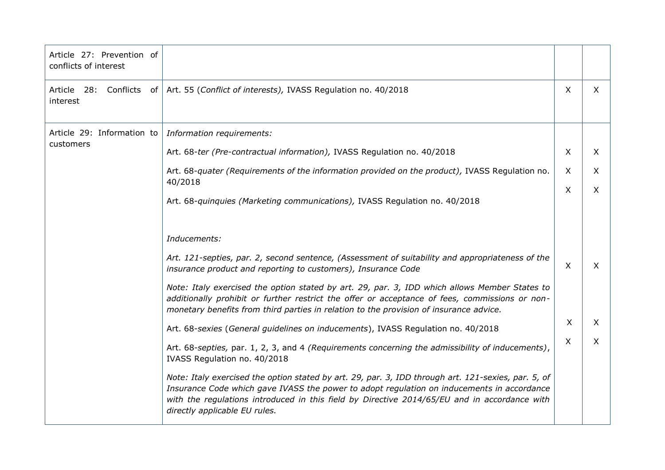| Article 27: Prevention of<br>conflicts of interest |                                                                                                                                                                                                                                                                                                                                    |          |          |
|----------------------------------------------------|------------------------------------------------------------------------------------------------------------------------------------------------------------------------------------------------------------------------------------------------------------------------------------------------------------------------------------|----------|----------|
| Article 28: Conflicts of<br>interest               | Art. 55 (Conflict of interests), IVASS Regulation no. 40/2018                                                                                                                                                                                                                                                                      | X        | $\times$ |
| Article 29: Information to                         | Information requirements:                                                                                                                                                                                                                                                                                                          |          |          |
| customers                                          | Art. 68-ter (Pre-contractual information), IVASS Regulation no. 40/2018                                                                                                                                                                                                                                                            | X        | X        |
|                                                    | Art. 68-quater (Requirements of the information provided on the product), IVASS Regulation no.<br>40/2018                                                                                                                                                                                                                          | $\times$ | X        |
|                                                    | Art. 68-quinquies (Marketing communications), IVASS Regulation no. 40/2018                                                                                                                                                                                                                                                         | X        | X        |
|                                                    |                                                                                                                                                                                                                                                                                                                                    |          |          |
|                                                    | Inducements:                                                                                                                                                                                                                                                                                                                       |          |          |
|                                                    | Art. 121-septies, par. 2, second sentence, (Assessment of suitability and appropriateness of the<br>insurance product and reporting to customers), Insurance Code                                                                                                                                                                  | X        | X        |
|                                                    | Note: Italy exercised the option stated by art. 29, par. 3, IDD which allows Member States to<br>additionally prohibit or further restrict the offer or acceptance of fees, commissions or non-<br>monetary benefits from third parties in relation to the provision of insurance advice.                                          |          |          |
|                                                    | Art. 68-sexies (General guidelines on inducements), IVASS Regulation no. 40/2018                                                                                                                                                                                                                                                   | X        | X        |
|                                                    | Art. 68-septies, par. 1, 2, 3, and 4 (Requirements concerning the admissibility of inducements),<br>IVASS Regulation no. 40/2018                                                                                                                                                                                                   | Χ        | X.       |
|                                                    | Note: Italy exercised the option stated by art. 29, par. 3, IDD through art. 121-sexies, par. 5, of<br>Insurance Code which gave IVASS the power to adopt regulation on inducements in accordance<br>with the regulations introduced in this field by Directive 2014/65/EU and in accordance with<br>directly applicable EU rules. |          |          |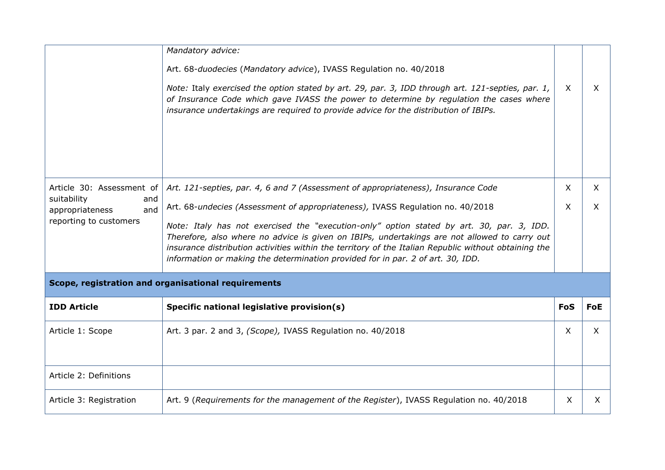| Mandatory advice:                                                                                                                                                                                                                                                                                                                                                                    |              |              |
|--------------------------------------------------------------------------------------------------------------------------------------------------------------------------------------------------------------------------------------------------------------------------------------------------------------------------------------------------------------------------------------|--------------|--------------|
| Art. 68-duodecies (Mandatory advice), IVASS Regulation no. 40/2018                                                                                                                                                                                                                                                                                                                   |              |              |
| Note: Italy exercised the option stated by art. 29, par. 3, IDD through art. 121-septies, par. 1,<br>of Insurance Code which gave IVASS the power to determine by regulation the cases where<br>insurance undertakings are required to provide advice for the distribution of IBIPs.                                                                                                 | $\mathsf{X}$ | X.           |
| Art. 121-septies, par. 4, 6 and 7 (Assessment of appropriateness), Insurance Code                                                                                                                                                                                                                                                                                                    | $\sf X$      | $\times$     |
| Art. 68-undecies (Assessment of appropriateness), IVASS Regulation no. 40/2018                                                                                                                                                                                                                                                                                                       | $\sf X$      | $\times$     |
| Note: Italy has not exercised the "execution-only" option stated by art. 30, par. 3, IDD.<br>Therefore, also where no advice is given on IBIPs, undertakings are not allowed to carry out<br>insurance distribution activities within the territory of the Italian Republic without obtaining the<br>information or making the determination provided for in par. 2 of art. 30, IDD. |              |              |
|                                                                                                                                                                                                                                                                                                                                                                                      |              |              |
| Scope, registration and organisational requirements                                                                                                                                                                                                                                                                                                                                  |              |              |
| Specific national legislative provision(s)                                                                                                                                                                                                                                                                                                                                           | <b>FoS</b>   | <b>FoE</b>   |
| Art. 3 par. 2 and 3, (Scope), IVASS Regulation no. 40/2018                                                                                                                                                                                                                                                                                                                           | $\times$     | $\mathsf{X}$ |
|                                                                                                                                                                                                                                                                                                                                                                                      |              |              |
|                                                                                                                                                                                                                                                                                                                                                                                      |              |              |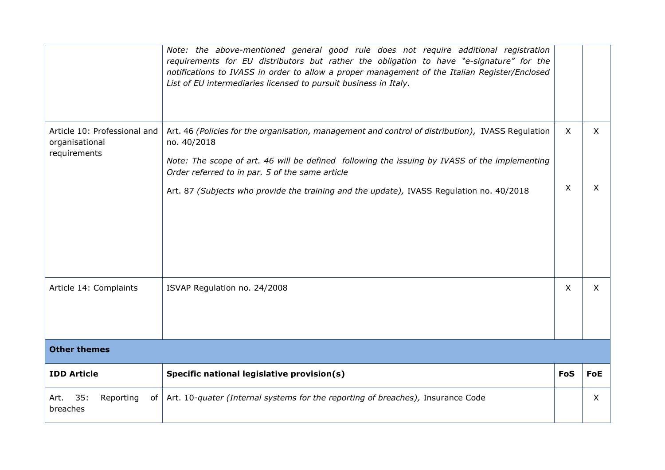|                                                                | Note: the above-mentioned general good rule does not require additional registration<br>requirements for EU distributors but rather the obligation to have "e-signature" for the<br>notifications to IVASS in order to allow a proper management of the Italian Register/Enclosed<br>List of EU intermediaries licensed to pursuit business in Italy.            |            |            |
|----------------------------------------------------------------|------------------------------------------------------------------------------------------------------------------------------------------------------------------------------------------------------------------------------------------------------------------------------------------------------------------------------------------------------------------|------------|------------|
| Article 10: Professional and<br>organisational<br>requirements | Art. 46 (Policies for the organisation, management and control of distribution), IVASS Regulation<br>no. 40/2018<br>Note: The scope of art. 46 will be defined following the issuing by IVASS of the implementing<br>Order referred to in par. 5 of the same article<br>Art. 87 (Subjects who provide the training and the update), IVASS Regulation no. 40/2018 | X<br>X     | X<br>X     |
| Article 14: Complaints                                         | ISVAP Regulation no. 24/2008                                                                                                                                                                                                                                                                                                                                     | X          | $\times$   |
| <b>Other themes</b>                                            |                                                                                                                                                                                                                                                                                                                                                                  |            |            |
|                                                                |                                                                                                                                                                                                                                                                                                                                                                  |            |            |
| <b>IDD Article</b>                                             | Specific national legislative provision(s)                                                                                                                                                                                                                                                                                                                       | <b>FoS</b> | <b>FoE</b> |
| 35:<br>Reporting<br>Art.<br>breaches                           | of   Art. 10-quater (Internal systems for the reporting of breaches), Insurance Code                                                                                                                                                                                                                                                                             |            | $\chi$     |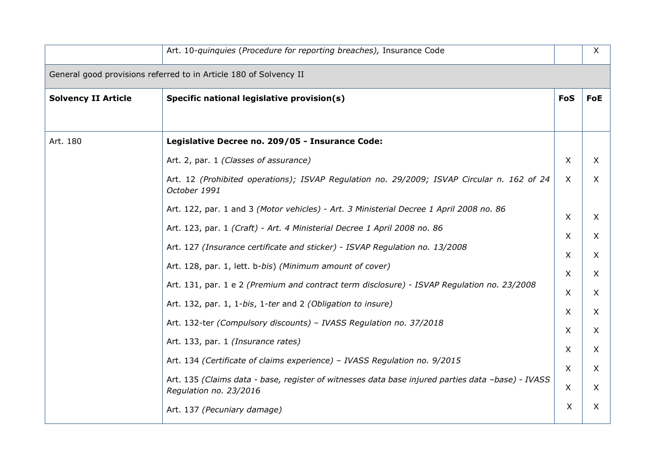|                            | Art. 10-quinquies (Procedure for reporting breaches), Insurance Code                                                        |               | X          |  |  |  |
|----------------------------|-----------------------------------------------------------------------------------------------------------------------------|---------------|------------|--|--|--|
|                            | General good provisions referred to in Article 180 of Solvency II                                                           |               |            |  |  |  |
| <b>Solvency II Article</b> | Specific national legislative provision(s)                                                                                  | <b>FoS</b>    | <b>FoE</b> |  |  |  |
|                            |                                                                                                                             |               |            |  |  |  |
| Art. 180                   | Legislative Decree no. 209/05 - Insurance Code:                                                                             |               |            |  |  |  |
|                            | Art. 2, par. 1 (Classes of assurance)                                                                                       | $\sf X$       | $\times$   |  |  |  |
|                            | Art. 12 (Prohibited operations); ISVAP Regulation no. 29/2009; ISVAP Circular n. 162 of 24<br>October 1991                  | $\sf X$       | $\times$   |  |  |  |
|                            | Art. 122, par. 1 and 3 (Motor vehicles) - Art. 3 Ministerial Decree 1 April 2008 no. 86                                     | $\mathsf{X}$  | X          |  |  |  |
|                            | Art. 123, par. 1 (Craft) - Art. 4 Ministerial Decree 1 April 2008 no. 86                                                    | X             | X          |  |  |  |
|                            | Art. 127 (Insurance certificate and sticker) - ISVAP Regulation no. 13/2008                                                 | $\times$      | X          |  |  |  |
|                            | Art. 128, par. 1, lett. b-bis) (Minimum amount of cover)                                                                    |               |            |  |  |  |
|                            | Art. 131, par. 1 e 2 (Premium and contract term disclosure) - ISVAP Regulation no. 23/2008                                  | $\times$<br>X | X<br>X     |  |  |  |
|                            | Art. 132, par. 1, 1-bis, 1-ter and 2 (Obligation to insure)                                                                 | X             | X          |  |  |  |
|                            | Art. 132-ter (Compulsory discounts) - IVASS Regulation no. 37/2018                                                          | $\times$      | X          |  |  |  |
|                            | Art. 133, par. 1 (Insurance rates)                                                                                          | X             | X          |  |  |  |
|                            | Art. 134 (Certificate of claims experience) - IVASS Regulation no. 9/2015                                                   | $\sf X$       | X          |  |  |  |
|                            | Art. 135 (Claims data - base, register of witnesses data base injured parties data -base) - IVASS<br>Regulation no. 23/2016 | $\times$      | X          |  |  |  |
|                            | Art. 137 (Pecuniary damage)                                                                                                 | X             | X          |  |  |  |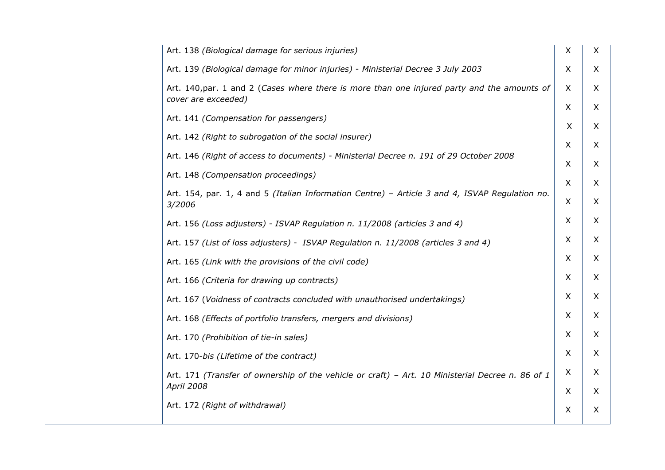| Art. 138 (Biological damage for serious injuries)                                                                     | X            | X              |
|-----------------------------------------------------------------------------------------------------------------------|--------------|----------------|
| Art. 139 (Biological damage for minor injuries) - Ministerial Decree 3 July 2003                                      | $\times$     | $\times$       |
| Art. 140, par. 1 and 2 (Cases where there is more than one injured party and the amounts of<br>cover are exceeded)    | $\times$     | X              |
| Art. 141 (Compensation for passengers)                                                                                | $\mathsf{X}$ | $\mathsf{X}$   |
|                                                                                                                       | X            | X              |
| Art. 142 (Right to subrogation of the social insurer)                                                                 | $\sf X$      | X              |
| Art. 146 (Right of access to documents) - Ministerial Decree n. 191 of 29 October 2008                                | X            | X              |
| Art. 148 (Compensation proceedings)                                                                                   | X            | X              |
| Art. 154, par. 1, 4 and 5 (Italian Information Centre) - Article 3 and 4, ISVAP Regulation no.<br>3/2006              | X            | X              |
| Art. 156 (Loss adjusters) - ISVAP Regulation n. 11/2008 (articles 3 and 4)                                            | X            | X              |
| Art. 157 (List of loss adjusters) - ISVAP Regulation n. 11/2008 (articles 3 and 4)                                    | X            | X              |
| Art. 165 (Link with the provisions of the civil code)                                                                 | X            | X.             |
| Art. 166 (Criteria for drawing up contracts)                                                                          | $\times$     | X              |
| Art. 167 (Voidness of contracts concluded with unauthorised undertakings)                                             | X            | X              |
| Art. 168 (Effects of portfolio transfers, mergers and divisions)                                                      | $\sf X$      | $\mathsf{X}$   |
| Art. 170 (Prohibition of tie-in sales)                                                                                | X            | X              |
| Art. 170-bis (Lifetime of the contract)                                                                               | $\times$     | X              |
| Art. 171 (Transfer of ownership of the vehicle or craft) - Art. 10 Ministerial Decree n. 86 of 1<br><b>April 2008</b> | X<br>$\sf X$ | X.<br>$\times$ |
| Art. 172 (Right of withdrawal)                                                                                        | X            | X.             |
|                                                                                                                       |              |                |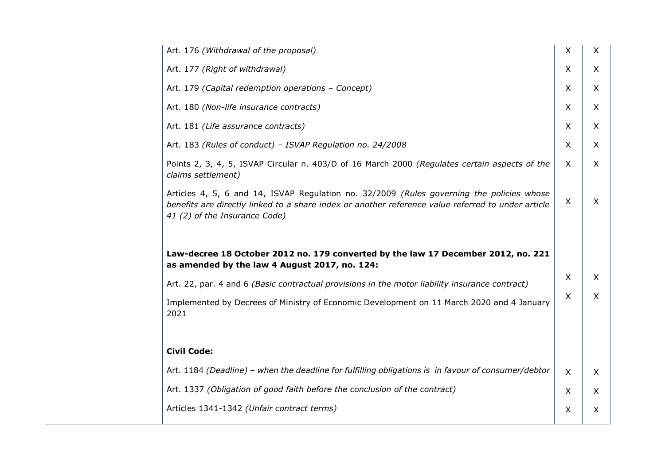| Art. 176 (Withdrawal of the proposal)                                                                                                                                                                                            | X        | $\mathsf{X}$ |
|----------------------------------------------------------------------------------------------------------------------------------------------------------------------------------------------------------------------------------|----------|--------------|
| Art. 177 (Right of withdrawal)                                                                                                                                                                                                   | $\sf X$  | $\times$     |
| Art. 179 (Capital redemption operations - Concept)                                                                                                                                                                               | X        | $\mathsf{X}$ |
| Art. 180 (Non-life insurance contracts)                                                                                                                                                                                          | X        | $\mathsf{X}$ |
| Art. 181 (Life assurance contracts)                                                                                                                                                                                              | X        | $\mathsf{X}$ |
| Art. 183 (Rules of conduct) - ISVAP Regulation no. 24/2008                                                                                                                                                                       | X        | X            |
| Points 2, 3, 4, 5, ISVAP Circular n. 403/D of 16 March 2000 (Regulates certain aspects of the<br>claims settlement)                                                                                                              | $\times$ | $\mathsf{X}$ |
| Articles 4, 5, 6 and 14, ISVAP Regulation no. 32/2009 (Rules governing the policies whose<br>benefits are directly linked to a share index or another reference value referred to under article<br>41 (2) of the Insurance Code) | X        | X            |
| Law-decree 18 October 2012 no. 179 converted by the law 17 December 2012, no. 221<br>as amended by the law 4 August 2017, no. 124:                                                                                               | $\sf X$  | $\sf X$      |
| Art. 22, par. 4 and 6 (Basic contractual provisions in the motor liability insurance contract)                                                                                                                                   |          |              |
| Implemented by Decrees of Ministry of Economic Development on 11 March 2020 and 4 January<br>2021                                                                                                                                | $\sf X$  | X            |
| <b>Civil Code:</b>                                                                                                                                                                                                               |          |              |
| Art. 1184 (Deadline) - when the deadline for fulfilling obligations is in favour of consumer/debtor                                                                                                                              | $\sf X$  | $\mathsf{X}$ |
| Art. 1337 (Obligation of good faith before the conclusion of the contract)                                                                                                                                                       | X        | X            |
| Articles 1341-1342 (Unfair contract terms)                                                                                                                                                                                       | X        | X            |
|                                                                                                                                                                                                                                  |          |              |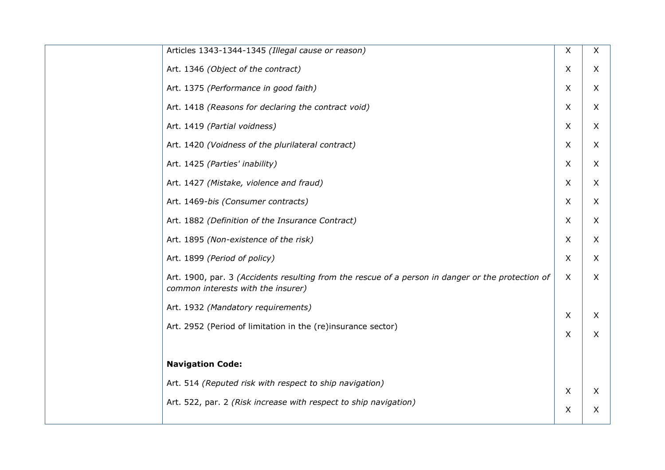| Articles 1343-1344-1345 (Illegal cause or reason)                                                                                       | X                         | X |  |
|-----------------------------------------------------------------------------------------------------------------------------------------|---------------------------|---|--|
| Art. 1346 (Object of the contract)                                                                                                      | $\sf X$                   | X |  |
| Art. 1375 (Performance in good faith)                                                                                                   | $\sf X$                   | X |  |
| Art. 1418 (Reasons for declaring the contract void)                                                                                     | $\sf X$                   | X |  |
| Art. 1419 (Partial voidness)                                                                                                            | X                         | X |  |
| Art. 1420 (Voidness of the plurilateral contract)                                                                                       | $\sf X$                   | X |  |
| Art. 1425 (Parties' inability)                                                                                                          | X                         | X |  |
| Art. 1427 (Mistake, violence and fraud)                                                                                                 | $\sf X$                   | X |  |
| Art. 1469-bis (Consumer contracts)                                                                                                      | X                         | X |  |
| Art. 1882 (Definition of the Insurance Contract)                                                                                        | $\sf X$                   | X |  |
| Art. 1895 (Non-existence of the risk)                                                                                                   | X                         | X |  |
| Art. 1899 (Period of policy)                                                                                                            | X                         | X |  |
| Art. 1900, par. 3 (Accidents resulting from the rescue of a person in danger or the protection of<br>common interests with the insurer) | $\mathsf{X}$              | X |  |
| Art. 1932 (Mandatory requirements)                                                                                                      | $\boldsymbol{\mathsf{X}}$ | X |  |
| Art. 2952 (Period of limitation in the (re)insurance sector)                                                                            | $\boldsymbol{\mathsf{X}}$ | X |  |
|                                                                                                                                         |                           |   |  |
| <b>Navigation Code:</b>                                                                                                                 |                           |   |  |
| Art. 514 (Reputed risk with respect to ship navigation)                                                                                 | $\boldsymbol{\mathsf{X}}$ | X |  |
| Art. 522, par. 2 (Risk increase with respect to ship navigation)                                                                        | $\boldsymbol{\mathsf{X}}$ | X |  |
|                                                                                                                                         |                           |   |  |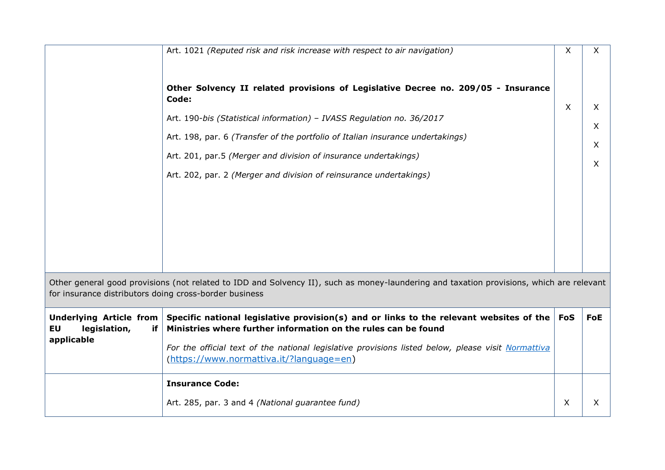|                                                                   | Art. 1021 (Reputed risk and risk increase with respect to air navigation)                                                                                                                                                                                                                                                                                                                      | X          | X.               |
|-------------------------------------------------------------------|------------------------------------------------------------------------------------------------------------------------------------------------------------------------------------------------------------------------------------------------------------------------------------------------------------------------------------------------------------------------------------------------|------------|------------------|
|                                                                   | Other Solvency II related provisions of Legislative Decree no. 209/05 - Insurance<br>Code:<br>Art. 190-bis (Statistical information) - IVASS Regulation no. 36/2017<br>Art. 198, par. 6 (Transfer of the portfolio of Italian insurance undertakings)<br>Art. 201, par.5 (Merger and division of insurance undertakings)<br>Art. 202, par. 2 (Merger and division of reinsurance undertakings) | X          | X<br>X<br>X<br>X |
|                                                                   | Other general good provisions (not related to IDD and Solvency II), such as money-laundering and taxation provisions, which are relevant                                                                                                                                                                                                                                                       |            |                  |
| for insurance distributors doing cross-border business            |                                                                                                                                                                                                                                                                                                                                                                                                |            |                  |
| Underlying Article from<br>EU<br>legislation,<br>if<br>applicable | Specific national legislative provision(s) and or links to the relevant websites of the<br>Ministries where further information on the rules can be found<br>For the official text of the national legislative provisions listed below, please visit Normattiva                                                                                                                                | <b>FoS</b> | <b>FoE</b>       |
|                                                                   | (https://www.normattiva.it/?language=en)                                                                                                                                                                                                                                                                                                                                                       |            |                  |
|                                                                   | <b>Insurance Code:</b>                                                                                                                                                                                                                                                                                                                                                                         |            |                  |
|                                                                   | Art. 285, par. 3 and 4 (National guarantee fund)                                                                                                                                                                                                                                                                                                                                               | X          | X                |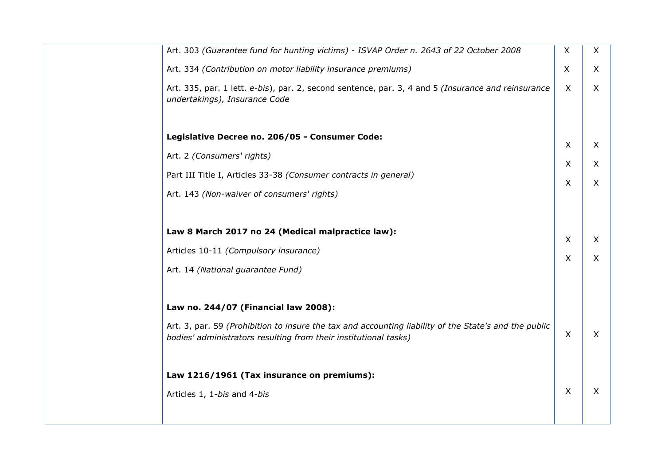| Art. 303 (Guarantee fund for hunting victims) - ISVAP Order n. 2643 of 22 October 2008                                                                                    | X | X        |
|---------------------------------------------------------------------------------------------------------------------------------------------------------------------------|---|----------|
| Art. 334 (Contribution on motor liability insurance premiums)                                                                                                             | X | X        |
| Art. 335, par. 1 lett. e-bis), par. 2, second sentence, par. 3, 4 and 5 (Insurance and reinsurance<br>undertakings), Insurance Code                                       | X | X        |
| Legislative Decree no. 206/05 - Consumer Code:                                                                                                                            |   |          |
| Art. 2 (Consumers' rights)                                                                                                                                                | X | X        |
|                                                                                                                                                                           | X | X        |
| Part III Title I, Articles 33-38 (Consumer contracts in general)                                                                                                          | X | X        |
| Art. 143 (Non-waiver of consumers' rights)                                                                                                                                |   |          |
|                                                                                                                                                                           |   |          |
| Law 8 March 2017 no 24 (Medical malpractice law):                                                                                                                         | X | $\times$ |
| Articles 10-11 (Compulsory insurance)                                                                                                                                     | X | X        |
| Art. 14 (National guarantee Fund)                                                                                                                                         |   |          |
|                                                                                                                                                                           |   |          |
| Law no. 244/07 (Financial law 2008):                                                                                                                                      |   |          |
| Art. 3, par. 59 (Prohibition to insure the tax and accounting liability of the State's and the public<br>bodies' administrators resulting from their institutional tasks) | X | X        |
| Law 1216/1961 (Tax insurance on premiums):                                                                                                                                |   |          |
| Articles 1, 1-bis and 4-bis                                                                                                                                               | X | X        |
|                                                                                                                                                                           |   |          |
|                                                                                                                                                                           |   |          |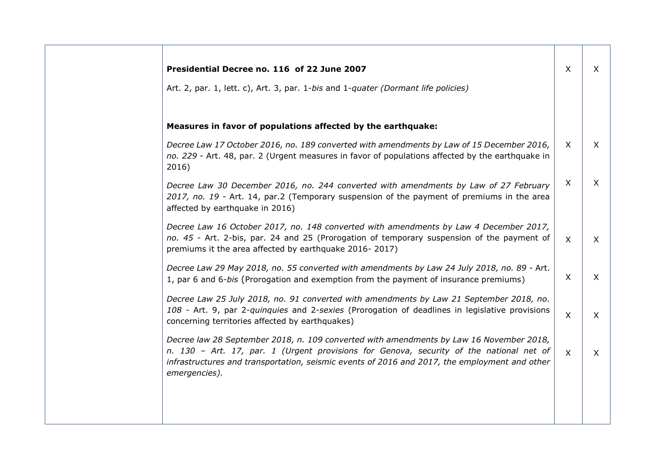| Presidential Decree no. 116 of 22 June 2007                                                                                                                                                                                                                                                          | X            | $\mathsf{X}$ |
|------------------------------------------------------------------------------------------------------------------------------------------------------------------------------------------------------------------------------------------------------------------------------------------------------|--------------|--------------|
| Art. 2, par. 1, lett. c), Art. 3, par. 1-bis and 1-quater (Dormant life policies)                                                                                                                                                                                                                    |              |              |
| Measures in favor of populations affected by the earthquake:                                                                                                                                                                                                                                         |              |              |
| Decree Law 17 October 2016, no. 189 converted with amendments by Law of 15 December 2016,<br>no. 229 - Art. 48, par. 2 (Urgent measures in favor of populations affected by the earthquake in<br>2016)                                                                                               | X            | $\mathsf{X}$ |
| Decree Law 30 December 2016, no. 244 converted with amendments by Law of 27 February<br>2017, no. 19 - Art. 14, par.2 (Temporary suspension of the payment of premiums in the area<br>affected by earthquake in 2016)                                                                                | X            | $\mathsf{X}$ |
| Decree Law 16 October 2017, no. 148 converted with amendments by Law 4 December 2017,<br>no. 45 - Art. 2-bis, par. 24 and 25 (Prorogation of temporary suspension of the payment of<br>premiums it the area affected by earthquake 2016-2017)                                                        | X            | $\times$     |
| Decree Law 29 May 2018, no. 55 converted with amendments by Law 24 July 2018, no. 89 - Art.<br>1, par 6 and 6-bis (Prorogation and exemption from the payment of insurance premiums)                                                                                                                 | X            | $\mathsf{X}$ |
| Decree Law 25 July 2018, no. 91 converted with amendments by Law 21 September 2018, no.<br>108 - Art. 9, par 2-quinquies and 2-sexies (Prorogation of deadlines in legislative provisions<br>concerning territories affected by earthquakes)                                                         | $\mathsf{X}$ | X            |
| Decree law 28 September 2018, n. 109 converted with amendments by Law 16 November 2018,<br>n. 130 - Art. 17, par. 1 (Urgent provisions for Genova, security of the national net of<br>infrastructures and transportation, seismic events of 2016 and 2017, the employment and other<br>emergencies). | $\mathsf{X}$ | $\mathsf{X}$ |
|                                                                                                                                                                                                                                                                                                      |              |              |
|                                                                                                                                                                                                                                                                                                      |              |              |

┓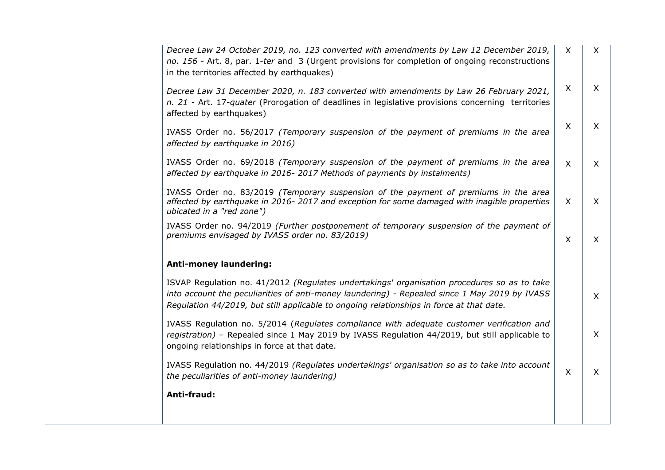| Decree Law 24 October 2019, no. 123 converted with amendments by Law 12 December 2019,<br>no. 156 - Art. 8, par. 1-ter and 3 (Urgent provisions for completion of ongoing reconstructions<br>in the territories affected by earthquakes)                                                 | $\mathsf{X}$ | $\mathsf{X}$ |
|------------------------------------------------------------------------------------------------------------------------------------------------------------------------------------------------------------------------------------------------------------------------------------------|--------------|--------------|
| Decree Law 31 December 2020, n. 183 converted with amendments by Law 26 February 2021,<br>n. 21 - Art. 17-quater (Prorogation of deadlines in legislative provisions concerning territories<br>affected by earthquakes)                                                                  | $\mathsf{X}$ | $\mathsf{X}$ |
| IVASS Order no. 56/2017 (Temporary suspension of the payment of premiums in the area<br>affected by earthquake in 2016)                                                                                                                                                                  | $\sf X$      | $\sf X$      |
| IVASS Order no. 69/2018 (Temporary suspension of the payment of premiums in the area<br>affected by earthquake in 2016-2017 Methods of payments by instalments)                                                                                                                          | $\mathsf{X}$ | $\mathsf{X}$ |
| IVASS Order no. 83/2019 (Temporary suspension of the payment of premiums in the area<br>affected by earthquake in 2016-2017 and exception for some damaged with inagible properties<br>ubicated in a "red zone")                                                                         | $\mathsf{X}$ | $\sf X$      |
| IVASS Order no. 94/2019 (Further postponement of temporary suspension of the payment of<br>premiums envisaged by IVASS order no. 83/2019)                                                                                                                                                | X            | $\times$     |
| <b>Anti-money laundering:</b>                                                                                                                                                                                                                                                            |              |              |
| ISVAP Regulation no. 41/2012 (Regulates undertakings' organisation procedures so as to take<br>into account the peculiarities of anti-money laundering) - Repealed since 1 May 2019 by IVASS<br>Regulation 44/2019, but still applicable to ongoing relationships in force at that date. |              | $\mathsf{X}$ |
| IVASS Regulation no. 5/2014 (Regulates compliance with adequate customer verification and<br>registration) - Repealed since 1 May 2019 by IVASS Regulation 44/2019, but still applicable to<br>ongoing relationships in force at that date.                                              |              | $\mathsf{X}$ |
| IVASS Regulation no. 44/2019 (Regulates undertakings' organisation so as to take into account<br>the peculiarities of anti-money laundering)                                                                                                                                             | $\sf X$      | $\sf X$      |
| Anti-fraud:                                                                                                                                                                                                                                                                              |              |              |
|                                                                                                                                                                                                                                                                                          |              |              |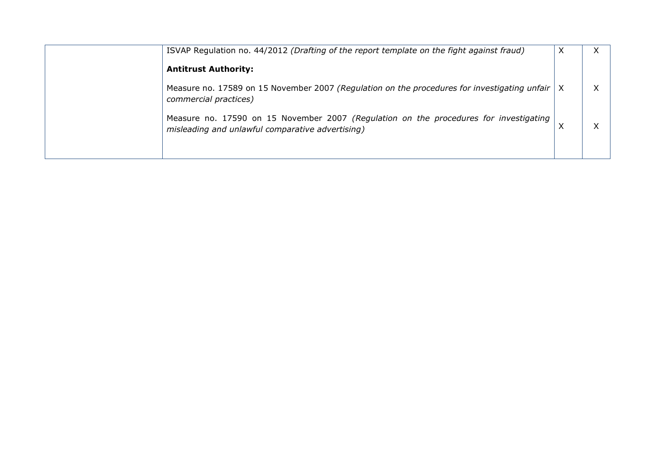| ISVAP Regulation no. 44/2012 (Drafting of the report template on the fight against fraud)                                                 | X |  |
|-------------------------------------------------------------------------------------------------------------------------------------------|---|--|
| <b>Antitrust Authority:</b>                                                                                                               |   |  |
| Measure no. 17589 on 15 November 2007 (Regulation on the procedures for investigating unfair  <br>commercial practices)                   |   |  |
| Measure no. 17590 on 15 November 2007 (Regulation on the procedures for investigating<br>misleading and unlawful comparative advertising) |   |  |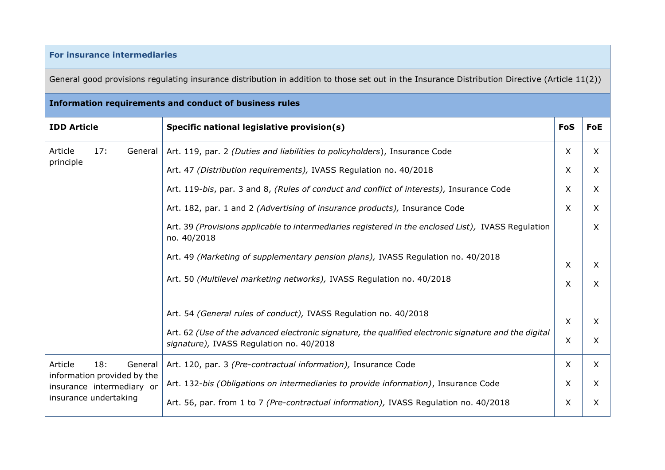## **For insurance intermediaries**

General good provisions regulating insurance distribution in addition to those set out in the Insurance Distribution Directive (Article 11(2))

| Information requirements and conduct of business rules   |                                                                                                                                                   |                           |              |  |  |
|----------------------------------------------------------|---------------------------------------------------------------------------------------------------------------------------------------------------|---------------------------|--------------|--|--|
| <b>IDD Article</b>                                       | Specific national legislative provision(s)                                                                                                        | <b>FoS</b>                | FoE          |  |  |
| 17:<br>Article<br>General                                | Art. 119, par. 2 (Duties and liabilities to policyholders), Insurance Code                                                                        | $\mathsf{X}$              | $\times$     |  |  |
| principle                                                | Art. 47 (Distribution requirements), IVASS Regulation no. 40/2018                                                                                 | X                         | X            |  |  |
|                                                          | Art. 119-bis, par. 3 and 8, (Rules of conduct and conflict of interests), Insurance Code                                                          | $\times$                  | X            |  |  |
|                                                          | Art. 182, par. 1 and 2 (Advertising of insurance products), Insurance Code                                                                        | X                         | X            |  |  |
|                                                          | Art. 39 (Provisions applicable to intermediaries registered in the enclosed List), IVASS Regulation<br>no. 40/2018                                |                           | X            |  |  |
|                                                          | Art. 49 (Marketing of supplementary pension plans), IVASS Regulation no. 40/2018                                                                  | $\mathsf{X}$              | X            |  |  |
|                                                          | Art. 50 (Multilevel marketing networks), IVASS Regulation no. 40/2018                                                                             | $\boldsymbol{\mathsf{X}}$ | X            |  |  |
|                                                          | Art. 54 (General rules of conduct), IVASS Regulation no. 40/2018                                                                                  | $\boldsymbol{\mathsf{X}}$ | X            |  |  |
|                                                          | Art. 62 (Use of the advanced electronic signature, the qualified electronic signature and the digital<br>signature), IVASS Regulation no. 40/2018 | X                         | X            |  |  |
| Article<br>18:<br>General                                | Art. 120, par. 3 (Pre-contractual information), Insurance Code                                                                                    | $\mathsf{X}$              | $\mathsf{X}$ |  |  |
| information provided by the<br>insurance intermediary or | Art. 132-bis (Obligations on intermediaries to provide information), Insurance Code                                                               | $\times$                  | X            |  |  |
| insurance undertaking                                    | Art. 56, par. from 1 to 7 (Pre-contractual information), IVASS Regulation no. 40/2018                                                             | $\times$                  | X            |  |  |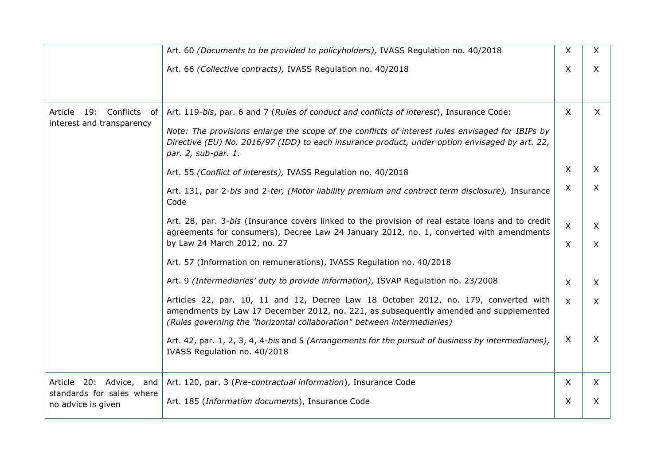|                                                       | Art. 60 (Documents to be provided to policyholders), IVASS Regulation no. 40/2018                                                                                                                                                                                                                                     | X                         | $\mathsf{X}$ |
|-------------------------------------------------------|-----------------------------------------------------------------------------------------------------------------------------------------------------------------------------------------------------------------------------------------------------------------------------------------------------------------------|---------------------------|--------------|
|                                                       | Art. 66 (Collective contracts), IVASS Regulation no. 40/2018                                                                                                                                                                                                                                                          | $\boldsymbol{\mathsf{X}}$ | $\times$     |
| Article 19: Conflicts of<br>interest and transparency | Art. 119-bis, par. 6 and 7 (Rules of conduct and conflicts of interest), Insurance Code:<br>Note: The provisions enlarge the scope of the conflicts of interest rules envisaged for IBIPs by<br>Directive (EU) No. 2016/97 (IDD) to each insurance product, under option envisaged by art. 22,<br>par. 2, sub-par. 1. | $\mathsf{X}$              | $\mathsf{X}$ |
|                                                       | Art. 55 (Conflict of interests), IVASS Regulation no. 40/2018                                                                                                                                                                                                                                                         | $\pmb{\times}$            | X            |
|                                                       | Art. 131, par 2-bis and 2-ter, (Motor liability premium and contract term disclosure), Insurance<br>Code                                                                                                                                                                                                              | X                         | X            |
|                                                       | Art. 28, par. 3-bis (Insurance covers linked to the provision of real estate loans and to credit<br>agreements for consumers), Decree Law 24 January 2012, no. 1, converted with amendments                                                                                                                           | $\boldsymbol{\mathsf{X}}$ | X            |
|                                                       | by Law 24 March 2012, no. 27                                                                                                                                                                                                                                                                                          | $\sf X$                   | $\mathsf{X}$ |
|                                                       | Art. 57 (Information on remunerations), IVASS Regulation no. 40/2018                                                                                                                                                                                                                                                  |                           |              |
|                                                       | Art. 9 (Intermediaries' duty to provide information), ISVAP Regulation no. 23/2008                                                                                                                                                                                                                                    | $\boldsymbol{\mathsf{X}}$ | X            |
|                                                       | Articles 22, par. 10, 11 and 12, Decree Law 18 October 2012, no. 179, converted with<br>amendments by Law 17 December 2012, no. 221, as subsequently amended and supplemented<br>(Rules governing the "horizontal collaboration" between intermediaries)                                                              | $\mathsf{X}$              | $\times$     |
|                                                       | Art. 42, par. 1, 2, 3, 4, 4-bis and 5 (Arrangements for the pursuit of business by intermediaries),<br>IVASS Regulation no. 40/2018                                                                                                                                                                                   | $\pmb{\times}$            | X            |
| Article 20: Advice, and                               | Art. 120, par. 3 (Pre-contractual information), Insurance Code                                                                                                                                                                                                                                                        | X                         | $\mathsf{X}$ |
| standards for sales where<br>no advice is given       | Art. 185 (Information documents), Insurance Code                                                                                                                                                                                                                                                                      | X                         | X            |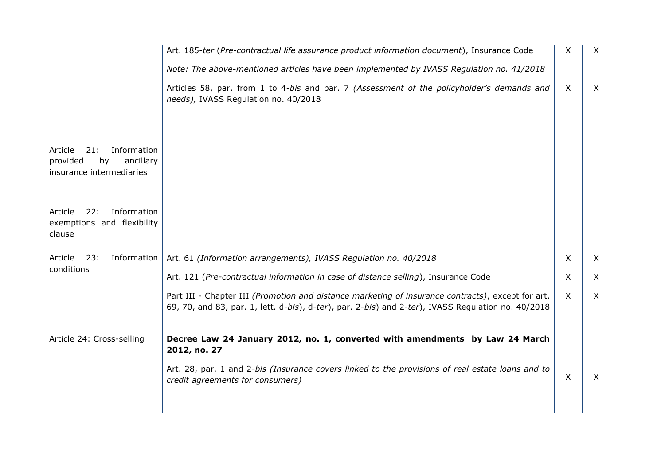|                                                                                          | Art. 185-ter (Pre-contractual life assurance product information document), Insurance Code                                                                                                                                     | X            | X        |
|------------------------------------------------------------------------------------------|--------------------------------------------------------------------------------------------------------------------------------------------------------------------------------------------------------------------------------|--------------|----------|
|                                                                                          | Note: The above-mentioned articles have been implemented by IVASS Regulation no. 41/2018<br>Articles 58, par. from 1 to 4-bis and par. 7 (Assessment of the policyholder's demands and<br>needs), IVASS Regulation no. 40/2018 | $\sf X$      | X.       |
|                                                                                          |                                                                                                                                                                                                                                |              |          |
| Information<br>Article<br>21:<br>provided<br>by<br>ancillary<br>insurance intermediaries |                                                                                                                                                                                                                                |              |          |
| 22:<br>Information<br>Article<br>exemptions and flexibility<br>clause                    |                                                                                                                                                                                                                                |              |          |
| Article<br>23:<br>Information                                                            | Art. 61 (Information arrangements), IVASS Regulation no. 40/2018                                                                                                                                                               | X            | X.       |
| conditions                                                                               | Art. 121 (Pre-contractual information in case of distance selling), Insurance Code                                                                                                                                             | X            | X.       |
|                                                                                          | Part III - Chapter III (Promotion and distance marketing of insurance contracts), except for art.<br>69, 70, and 83, par. 1, lett. d-bis), d-ter), par. 2-bis) and 2-ter), IVASS Regulation no. 40/2018                        | $\mathsf{X}$ | $\times$ |
| Article 24: Cross-selling                                                                | Decree Law 24 January 2012, no. 1, converted with amendments by Law 24 March<br>2012, no. 27                                                                                                                                   |              |          |
|                                                                                          | Art. 28, par. 1 and 2-bis (Insurance covers linked to the provisions of real estate loans and to<br>credit agreements for consumers)                                                                                           | X            | X.       |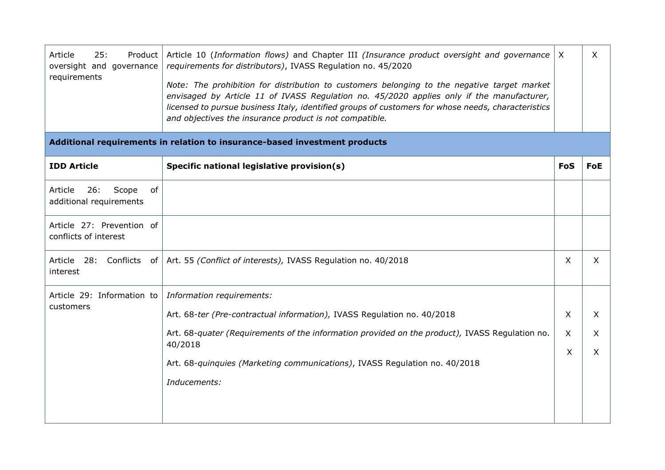| Article<br>25:<br>Product<br>oversight and governance<br>requirements      | Article 10 (Information flows) and Chapter III (Insurance product oversight and governance<br>requirements for distributors), IVASS Regulation no. 45/2020<br>Note: The prohibition for distribution to customers belonging to the negative target market<br>envisaged by Article 11 of IVASS Regulation no. 45/2020 applies only if the manufacturer,<br>licensed to pursue business Italy, identified groups of customers for whose needs, characteristics<br>and objectives the insurance product is not compatible. | $\mathsf{X}$ | X            |
|----------------------------------------------------------------------------|-------------------------------------------------------------------------------------------------------------------------------------------------------------------------------------------------------------------------------------------------------------------------------------------------------------------------------------------------------------------------------------------------------------------------------------------------------------------------------------------------------------------------|--------------|--------------|
| Additional requirements in relation to insurance-based investment products |                                                                                                                                                                                                                                                                                                                                                                                                                                                                                                                         |              |              |
| <b>IDD Article</b>                                                         | Specific national legislative provision(s)                                                                                                                                                                                                                                                                                                                                                                                                                                                                              | <b>FoS</b>   | <b>FoE</b>   |
| 26:<br>Article<br>Scope<br>of<br>additional requirements                   |                                                                                                                                                                                                                                                                                                                                                                                                                                                                                                                         |              |              |
| Article 27: Prevention of<br>conflicts of interest                         |                                                                                                                                                                                                                                                                                                                                                                                                                                                                                                                         |              |              |
| Article<br>28:<br>Conflicts<br>of<br>interest                              | Art. 55 (Conflict of interests), IVASS Regulation no. 40/2018                                                                                                                                                                                                                                                                                                                                                                                                                                                           | X            | $\mathsf{X}$ |
| Article 29: Information to                                                 | Information requirements:                                                                                                                                                                                                                                                                                                                                                                                                                                                                                               |              |              |
| customers                                                                  | Art. 68-ter (Pre-contractual information), IVASS Regulation no. 40/2018                                                                                                                                                                                                                                                                                                                                                                                                                                                 | X            | X            |
|                                                                            | Art. 68-quater (Requirements of the information provided on the product), IVASS Regulation no.<br>40/2018                                                                                                                                                                                                                                                                                                                                                                                                               | X            | X            |
|                                                                            | Art. 68-quinquies (Marketing communications), IVASS Regulation no. 40/2018                                                                                                                                                                                                                                                                                                                                                                                                                                              | $\times$     | $\mathsf{X}$ |
|                                                                            | Inducements:                                                                                                                                                                                                                                                                                                                                                                                                                                                                                                            |              |              |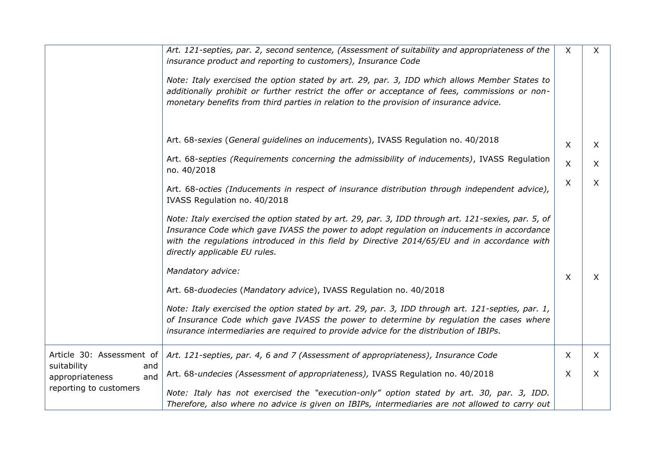|                                              | Art. 121-septies, par. 2, second sentence, (Assessment of suitability and appropriateness of the<br>insurance product and reporting to customers), Insurance Code<br>Note: Italy exercised the option stated by art. 29, par. 3, IDD which allows Member States to<br>additionally prohibit or further restrict the offer or acceptance of fees, commissions or non-<br>monetary benefits from third parties in relation to the provision of insurance advice. | X       | X        |
|----------------------------------------------|----------------------------------------------------------------------------------------------------------------------------------------------------------------------------------------------------------------------------------------------------------------------------------------------------------------------------------------------------------------------------------------------------------------------------------------------------------------|---------|----------|
|                                              | Art. 68-sexies (General guidelines on inducements), IVASS Regulation no. 40/2018                                                                                                                                                                                                                                                                                                                                                                               | $\sf X$ | X        |
|                                              | Art. 68-septies (Requirements concerning the admissibility of inducements), IVASS Regulation<br>no. 40/2018                                                                                                                                                                                                                                                                                                                                                    | X       | $\times$ |
|                                              | Art. 68-octies (Inducements in respect of insurance distribution through independent advice),<br>IVASS Regulation no. 40/2018                                                                                                                                                                                                                                                                                                                                  | X       | X        |
|                                              | Note: Italy exercised the option stated by art. 29, par. 3, IDD through art. 121-sexies, par. 5, of<br>Insurance Code which gave IVASS the power to adopt regulation on inducements in accordance<br>with the regulations introduced in this field by Directive 2014/65/EU and in accordance with<br>directly applicable EU rules.                                                                                                                             |         |          |
|                                              | Mandatory advice:                                                                                                                                                                                                                                                                                                                                                                                                                                              | X       | $\times$ |
|                                              | Art. 68-duodecies (Mandatory advice), IVASS Regulation no. 40/2018                                                                                                                                                                                                                                                                                                                                                                                             |         |          |
|                                              | Note: Italy exercised the option stated by art. 29, par. 3, IDD through art. 121-septies, par. 1,<br>of Insurance Code which gave IVASS the power to determine by regulation the cases where<br>insurance intermediaries are required to provide advice for the distribution of IBIPs.                                                                                                                                                                         |         |          |
| Article 30: Assessment of                    | Art. 121-septies, par. 4, 6 and 7 (Assessment of appropriateness), Insurance Code                                                                                                                                                                                                                                                                                                                                                                              | X       | X        |
| suitability<br>and<br>appropriateness<br>and | Art. 68-undecies (Assessment of appropriateness), IVASS Regulation no. 40/2018                                                                                                                                                                                                                                                                                                                                                                                 | $\sf X$ | $\chi$   |
| reporting to customers                       | Note: Italy has not exercised the "execution-only" option stated by art. 30, par. 3, IDD.<br>Therefore, also where no advice is given on IBIPs, intermediaries are not allowed to carry out                                                                                                                                                                                                                                                                    |         |          |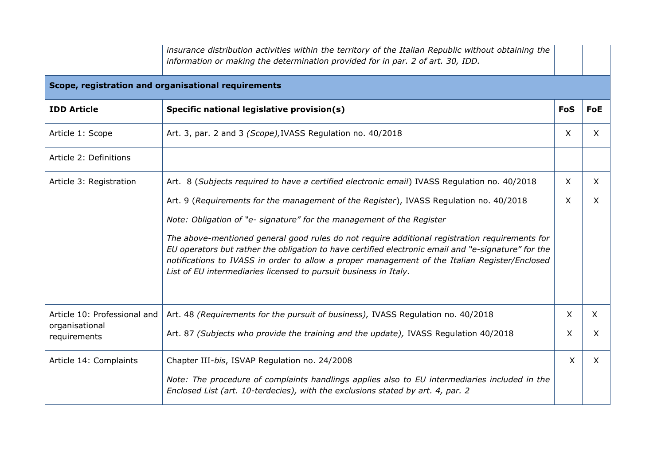|                                | insurance distribution activities within the territory of the Italian Republic without obtaining the<br>information or making the determination provided for in par. 2 of art. 30, IDD.                                                                                                                                                                                    |              |              |
|--------------------------------|----------------------------------------------------------------------------------------------------------------------------------------------------------------------------------------------------------------------------------------------------------------------------------------------------------------------------------------------------------------------------|--------------|--------------|
|                                | Scope, registration and organisational requirements                                                                                                                                                                                                                                                                                                                        |              |              |
| <b>IDD Article</b>             | Specific national legislative provision(s)                                                                                                                                                                                                                                                                                                                                 | <b>FoS</b>   | <b>FoE</b>   |
| Article 1: Scope               | Art. 3, par. 2 and 3 (Scope), IVASS Regulation no. 40/2018                                                                                                                                                                                                                                                                                                                 | X            | $\times$     |
| Article 2: Definitions         |                                                                                                                                                                                                                                                                                                                                                                            |              |              |
| Article 3: Registration        | Art. 8 (Subjects required to have a certified electronic email) IVASS Regulation no. 40/2018                                                                                                                                                                                                                                                                               | $\sf X$      | $\mathsf{X}$ |
|                                | Art. 9 (Requirements for the management of the Register), IVASS Regulation no. 40/2018                                                                                                                                                                                                                                                                                     | $\mathsf{X}$ | X            |
|                                | Note: Obligation of "e- signature" for the management of the Register                                                                                                                                                                                                                                                                                                      |              |              |
|                                | The above-mentioned general good rules do not require additional registration requirements for<br>EU operators but rather the obligation to have certified electronic email and "e-signature" for the<br>notifications to IVASS in order to allow a proper management of the Italian Register/Enclosed<br>List of EU intermediaries licensed to pursuit business in Italy. |              |              |
| Article 10: Professional and   | Art. 48 (Requirements for the pursuit of business), IVASS Regulation no. 40/2018                                                                                                                                                                                                                                                                                           | X            | $\mathsf{X}$ |
| organisational<br>requirements | Art. 87 (Subjects who provide the training and the update), IVASS Regulation 40/2018                                                                                                                                                                                                                                                                                       | X            | X            |
| Article 14: Complaints         | Chapter III-bis, ISVAP Regulation no. 24/2008                                                                                                                                                                                                                                                                                                                              | $\mathsf{X}$ | $\times$     |
|                                | Note: The procedure of complaints handlings applies also to EU intermediaries included in the<br>Enclosed List (art. 10-terdecies), with the exclusions stated by art. 4, par. 2                                                                                                                                                                                           |              |              |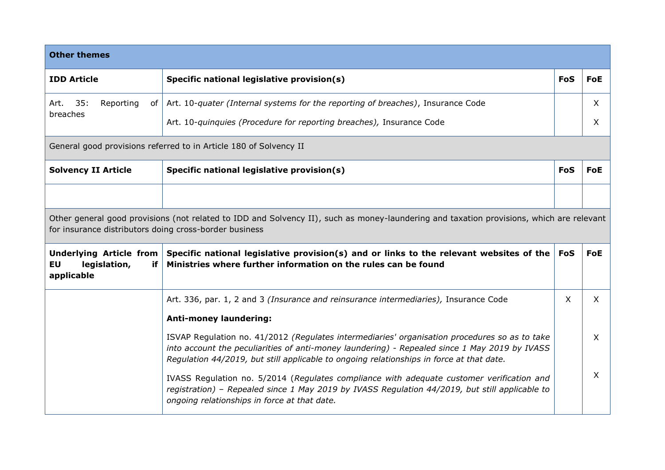| <b>Other themes</b>                                                                                                                                                                                                                                  |                                                                                                                                                                                                                                                                                            |            |                   |
|------------------------------------------------------------------------------------------------------------------------------------------------------------------------------------------------------------------------------------------------------|--------------------------------------------------------------------------------------------------------------------------------------------------------------------------------------------------------------------------------------------------------------------------------------------|------------|-------------------|
| <b>IDD Article</b>                                                                                                                                                                                                                                   | Specific national legislative provision(s)                                                                                                                                                                                                                                                 | <b>FoS</b> | <b>FoE</b>        |
| 35:<br>Reporting<br>Art.<br>of<br>breaches                                                                                                                                                                                                           | Art. 10-quater (Internal systems for the reporting of breaches), Insurance Code<br>Art. 10-quinquies (Procedure for reporting breaches), Insurance Code                                                                                                                                    |            | $\mathsf{X}$<br>X |
|                                                                                                                                                                                                                                                      | General good provisions referred to in Article 180 of Solvency II                                                                                                                                                                                                                          |            |                   |
| <b>Solvency II Article</b><br>Specific national legislative provision(s)                                                                                                                                                                             |                                                                                                                                                                                                                                                                                            | <b>FoS</b> | <b>FoE</b>        |
|                                                                                                                                                                                                                                                      |                                                                                                                                                                                                                                                                                            |            |                   |
| Other general good provisions (not related to IDD and Solvency II), such as money-laundering and taxation provisions, which are relevant<br>for insurance distributors doing cross-border business                                                   |                                                                                                                                                                                                                                                                                            |            |                   |
| Specific national legislative provision(s) and or links to the relevant websites of the $ F$ oS<br><b>Underlying Article from</b><br>Ministries where further information on the rules can be found<br><b>EU</b><br>legislation,<br>if<br>applicable |                                                                                                                                                                                                                                                                                            |            | <b>FoE</b>        |
|                                                                                                                                                                                                                                                      | Art. 336, par. 1, 2 and 3 (Insurance and reinsurance intermediaries), Insurance Code                                                                                                                                                                                                       | X.         | $\times$          |
|                                                                                                                                                                                                                                                      | <b>Anti-money laundering:</b>                                                                                                                                                                                                                                                              |            |                   |
|                                                                                                                                                                                                                                                      | ISVAP Regulation no. 41/2012 (Regulates intermediaries' organisation procedures so as to take<br>into account the peculiarities of anti-money laundering) - Repealed since 1 May 2019 by IVASS<br>Regulation 44/2019, but still applicable to ongoing relationships in force at that date. |            | $\sf X$           |
|                                                                                                                                                                                                                                                      | IVASS Regulation no. 5/2014 (Regulates compliance with adequate customer verification and<br>registration) - Repealed since 1 May 2019 by IVASS Regulation 44/2019, but still applicable to<br>ongoing relationships in force at that date.                                                |            | $\times$          |